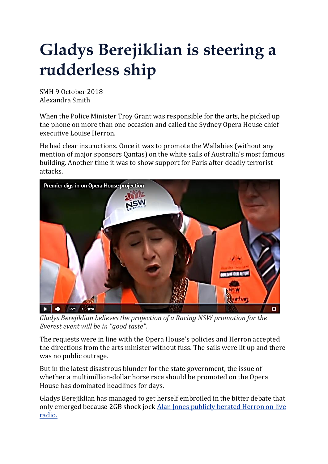## **Gladys Berejiklian is steering a rudderless ship**

SMH 9 October 2018 Alexandra Smith

When the Police Minister Troy Grant was responsible for the arts, he picked up the phone on more than one occasion and called the Sydney Opera House chief executive Louise Herron.

He had clear instructions. Once it was to promote the Wallabies (without any mention of major sponsors Qantas) on the white sails of Australia's most famous building. Another time it was to show support for Paris after deadly terrorist attacks.



*Gladys Berejiklian believes the projection of a Racing NSW promotion for the Everest event will be in "good taste".*

The requests were in line with the Opera House's policies and Herron accepted the directions from the arts minister without fuss. The sails were lit up and there was no public outrage.

But in the latest disastrous blunder for the state government, the issue of whether a multimillion-dollar horse race should be promoted on the Opera House has dominated headlines for days.

Gladys Berejiklian has managed to get herself embroiled in the bitter debate that only emerged because 2GB shock jock Alan Jones [publicly](https://www.smh.com.au/national/nsw/alan-jones-calls-on-berejiklian-to-sack-opera-house-boss-over-racing-dispute-20181005-p507x8.html) berated Herron on live [radio.](https://www.smh.com.au/national/nsw/alan-jones-calls-on-berejiklian-to-sack-opera-house-boss-over-racing-dispute-20181005-p507x8.html)